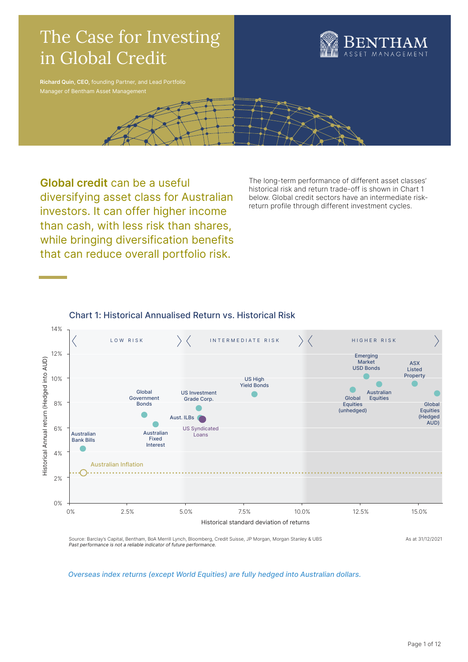

Global credit can be a useful diversifying asset class for Australian investors. It can offer higher income than cash, with less risk than shares, while bringing diversification benefits that can reduce overall portfolio risk.

The long-term performance of different asset classes' historical risk and return trade-off is shown in Chart 1 below. Global credit sectors have an intermediate riskreturn profile through different investment cycles.

# Chart 1: Historical Annualised Return vs. Historical Risk



Overseas index returns (except World Equities) are fully hedged into Australian dollars.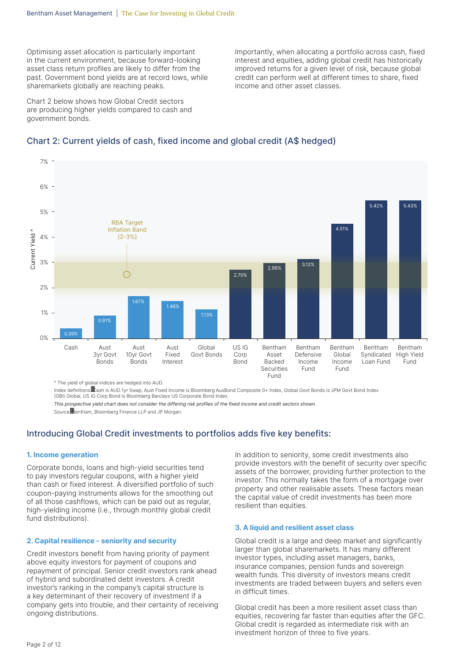Optimising asset allocation is particularly important in the current environment, because forward-looking asset class return profiles are likely to differ from the past. Government bond yields are at record lows, while sharemarkets globally are reaching peaks.

Chart 2 below shows how Global Credit sectors are producing higher yields compared to cash and government bonds.

Importantly, when allocating a portfolio across cash, fixed interest and equities, adding global credit has historically improved returns for a given level of risk, because global credit can perform well at different times to share, fixed income and other asset classes.

# Chart 2: Current yields of cash, fixed income and global credit (A\$ hedged)



^ The yield of global indices are hedged into AUD.

Index definitions: Cash is AUD 1yr Swap, Aust Fixed Income is Bloomberg AusBond Composite 0+ Index, Global Govt Bonds is JPM Govt Bond Index (GBI) Global, US IG Corp Bond is Bloomberg Barclays US Corporate Bond Index.

This prospective yield chart does not consider the differing risk profiles of the fixed income and credit sectors shown.

Source **B**entham, Bloomberg Finance LLP and JP Morgan.

# Introducing Global Credit investments to portfolios adds five key benefits:

### 1. Income generation

Corporate bonds, loans and high-yield securities tend to pay investors regular coupons, with a higher yield than cash or fixed interest. A diversified portfolio of such coupon-paying instruments allows for the smoothing out of all those cashflows, which can be paid out as regular, high-yielding income (i.e., through monthly global credit fund distributions).

### 2. Capital resilience - seniority and security

Credit investors benefit from having priority of payment above equity investors for payment of coupons and repayment of principal. Senior credit investors rank ahead of hybrid and subordinated debt investors. A credit investor's ranking in the company's capital structure is a key determinant of their recovery of investment if a company gets into trouble, and their certainty of receiving ongoing distributions.

In addition to seniority, some credit investments also provide investors with the benefit of security over specific assets of the borrower, providing further protection to the investor. This normally takes the form of a mortgage over property and other realisable assets. These factors mean the capital value of credit investments has been more resilient than equities.

#### 3. A liquid and resilient asset class

Global credit is a large and deep market and significantly larger than global sharemarkets. It has many different investor types, including asset managers, banks, insurance companies, pension funds and sovereign wealth funds. This diversity of investors means credit investments are traded between buyers and sellers even in difficult times.

Global credit has been a more resilient asset class than equities, recovering far faster than equities after the GFC. Global credit is regarded as intermediate risk with an investment horizon of three to five years.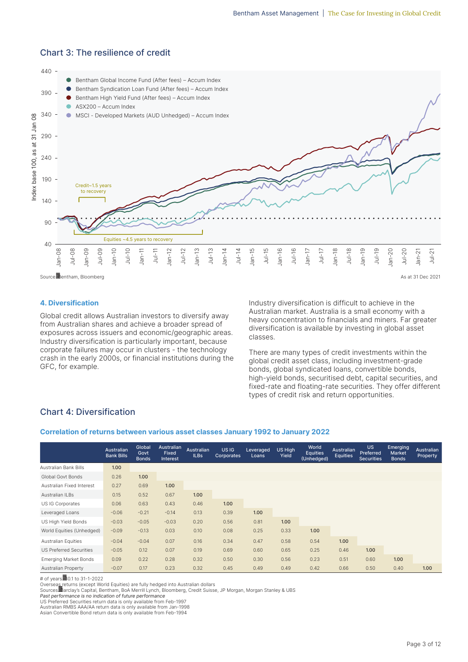

## Chart 3: The resilience of credit

### 4. Diversification

Global credit allows Australian investors to diversify away from Australian shares and achieve a broader spread of exposures across issuers and economic/geographic areas. Industry diversification is particularly important, because corporate failures may occur in clusters - the technology crash in the early 2000s, or financial institutions during the GFC, for example.

Industry diversification is difficult to achieve in the Australian market. Australia is a small economy with a heavy concentration to financials and miners. Far greater diversification is available by investing in global asset classes.

There are many types of credit investments within the global credit asset class, including investment-grade bonds, global syndicated loans, convertible bonds, high-yield bonds, securitised debt, capital securities, and fixed-rate and floating-rate securities. They offer different types of credit risk and return opportunities.

# Chart 4: Diversification

#### Correlation of returns between various asset classes January 1992 to January 2022

|                              | <b>Australian</b><br><b>Bank Bills</b> | Global<br>Govt<br><b>Bonds</b> | Australian<br>Fixed<br><b>Interest</b> | <b>Australian</b><br>ILBs | US IG<br>Corporates | Leveraged<br>Loans | <b>US High</b><br>Yield | World<br><b>Equities</b><br>(Unhedged) | <b>Australian</b><br><b>Equities</b> | US.<br>Preferred<br><b>Securities</b> | Emerging<br>Market<br><b>Bonds</b> | Australian<br>Property |
|------------------------------|----------------------------------------|--------------------------------|----------------------------------------|---------------------------|---------------------|--------------------|-------------------------|----------------------------------------|--------------------------------------|---------------------------------------|------------------------------------|------------------------|
| Australian Bank Bills        | 1.00                                   |                                |                                        |                           |                     |                    |                         |                                        |                                      |                                       |                                    |                        |
| Global Govt Bonds            | 0.26                                   | 1.00                           |                                        |                           |                     |                    |                         |                                        |                                      |                                       |                                    |                        |
| Australian Fixed Interest    | 0.27                                   | 0.69                           | 1.00                                   |                           |                     |                    |                         |                                        |                                      |                                       |                                    |                        |
| Australian ILBs              | 0.15                                   | 0.52                           | 0.67                                   | 1.00                      |                     |                    |                         |                                        |                                      |                                       |                                    |                        |
| US IG Corporates             | 0.06                                   | 0.63                           | 0.43                                   | 0.46                      | 1.00                |                    |                         |                                        |                                      |                                       |                                    |                        |
| Leveraged Loans              | $-0.06$                                | $-0.21$                        | $-0.14$                                | 0.13                      | 0.39                | 1.00               |                         |                                        |                                      |                                       |                                    |                        |
| US High Yield Bonds          | $-0.03$                                | $-0.05$                        | $-0.03$                                | 0.20                      | 0.56                | 0.81               | 1.00                    |                                        |                                      |                                       |                                    |                        |
| World Equities (Unhedged)    | $-0.09$                                | $-0.13$                        | 0.03                                   | 0.10                      | 0.08                | 0.25               | 0.33                    | 1.00                                   |                                      |                                       |                                    |                        |
| Australian Equities          | $-0.04$                                | $-0.04$                        | 0.07                                   | 0.16                      | 0.34                | 0.47               | 0.58                    | 0.54                                   | 1.00                                 |                                       |                                    |                        |
| US Preferred Securities      | $-0.05$                                | 0.12                           | 0.07                                   | 0.19                      | 0.69                | 0.60               | 0.65                    | 0.25                                   | 0.46                                 | 1.00                                  |                                    |                        |
| <b>Emerging Market Bonds</b> | 0.09                                   | 0.22                           | 0.28                                   | 0.32                      | 0.50                | 0.30               | 0.56                    | 0.23                                   | 0.51                                 | 0.60                                  | 1.00                               |                        |
| <b>Australian Property</b>   | $-0.07$                                | 0.17                           | 0.23                                   | 0.32                      | 0.45                | 0.49               | 0.49                    | 0.42                                   | 0.66                                 | 0.50                                  | 0.40                               | 1.00                   |

# of years**1**0.1 to 31-1-2022

Oversea<u>s r</u>eturns (except World Equities) are fully hedged into Australian dollars<br>Sources霊arclay's Capital, Bentham, BoA Merrill Lynch, Bloomberg, Credit Suisse, JP Morgan, Morgan Stanley & UBS

Past performance is no indication of future performance

US Preferred Securities return data is only available from Feb-1997 Australian RMBS AAA/AA return data is only available from Jan-1998

Asian Convertible Bond return data is only available from Feb-1994